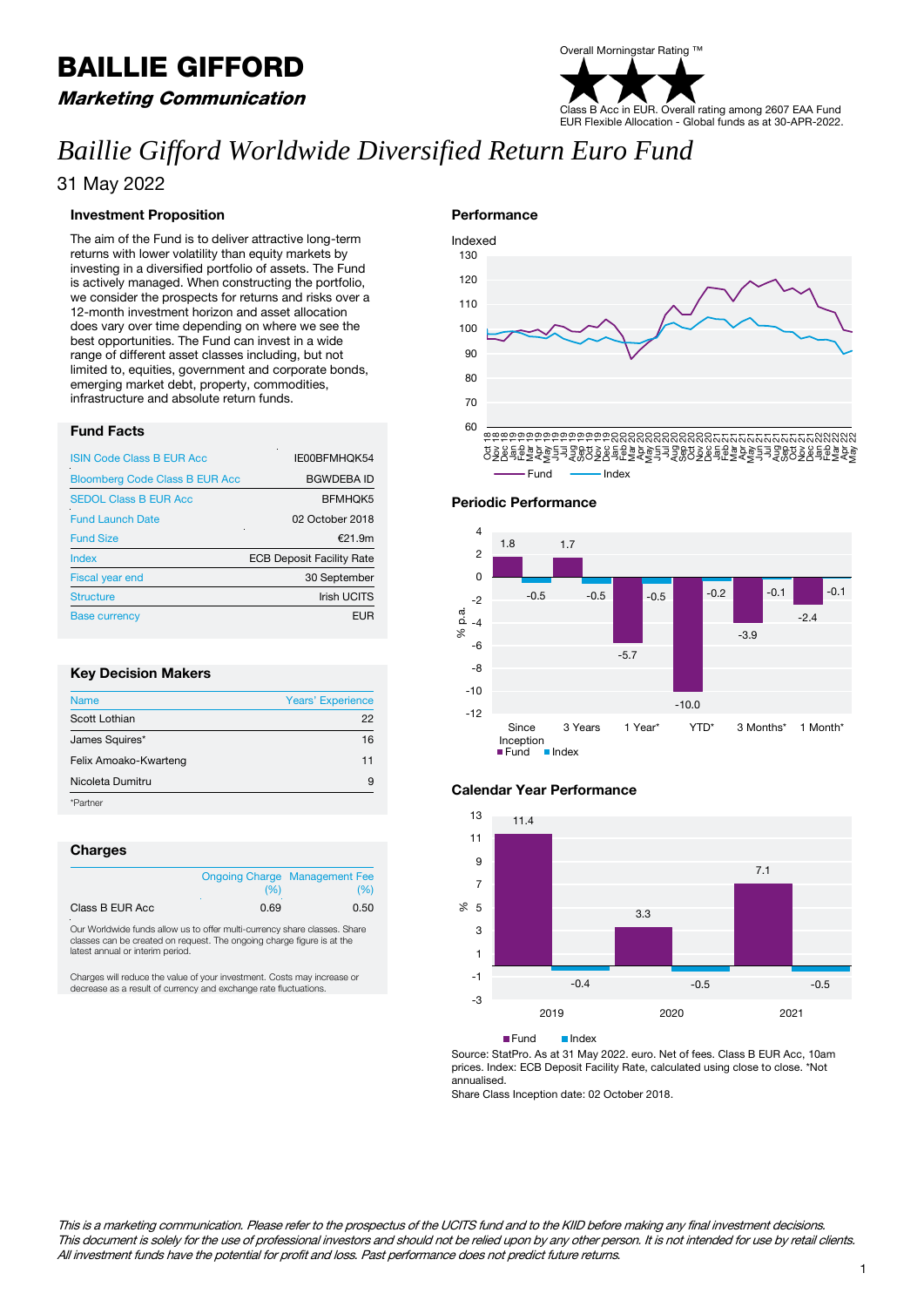# BAILLIE GIFFORD

### Marketing Communication

# Overall Morningstar Rating ™ Class B Acc in EUR. Overall rating among 2607 EAA Fund EUR Flexible Allocation - Global funds as at 30-APR-2022.

# *Baillie Gifford Worldwide Diversified Return Euro Fund*

### 31 May 2022

#### **Investment Proposition**

The aim of the Fund is to deliver attractive long-term returns with lower volatility than equity markets by investing in a diversified portfolio of assets. The Fund is actively managed. When constructing the portfolio, we consider the prospects for returns and risks over a 12-month investment horizon and asset allocation does vary over time depending on where we see the best opportunities. The Fund can invest in a wide range of different asset classes including, but not limited to, equities, government and corporate bonds, emerging market debt, property, commodities, infrastructure and absolute return funds.

#### **Fund Facts**

| <b>ISIN Code Class B EUR Acc</b>      | IE00BFMHQK54                     |
|---------------------------------------|----------------------------------|
| <b>Bloomberg Code Class B EUR Acc</b> | <b>BGWDEBA ID</b>                |
| <b>SEDOL Class B EUR Acc</b>          | <b>BFMHQK5</b>                   |
| <b>Fund Launch Date</b>               | 02 October 2018                  |
| <b>Fund Size</b>                      | £21.9m                           |
| Index                                 | <b>ECB Deposit Facility Rate</b> |
| Fiscal year end                       | 30 September                     |
| <b>Structure</b>                      | <b>Irish UCITS</b>               |
| <b>Base currency</b>                  | <b>EUR</b>                       |

#### **Key Decision Makers**

| <b>Name</b>           | <b>Years' Experience</b> |
|-----------------------|--------------------------|
| Scott Lothian         | 22                       |
| James Squires*        | 16                       |
| Felix Amoako-Kwarteng | 11                       |
| Nicoleta Dumitru      | 9                        |
| ٠<br>*Partner         |                          |

#### **Charges**

|                 |      | <b>Ongoing Charge Management Fee</b> |  |
|-----------------|------|--------------------------------------|--|
|                 | (96) | (%)                                  |  |
| Class B EUR Acc | 0.69 | 0.50                                 |  |

Our Worldwide funds allow us to offer multi-currency share classes. Share classes can be created on request. The ongoing charge figure is at the latest annual or interim period.

Charges will reduce the value of your investment. Costs may increase or decrease as a result of currency and exchange rate fluctuations.





#### **Calendar Year Performance**



**Fund** Index

Source: StatPro. As at 31 May 2022. euro. Net of fees. Class B EUR Acc, 10am prices. Index: ECB Deposit Facility Rate, calculated using close to close. \*Not annualised.

Share Class Inception date: 02 October 2018.

This is a marketing communication. Please refer to the prospectus of the UCITS fund and to the KIID before making any final investment decisions. This document is solely for the use of professional investors and should not be relied upon by any other person. It is not intended for use by retail clients. All investment funds have the potential for profit and loss. Past performance does not predict future returns. 1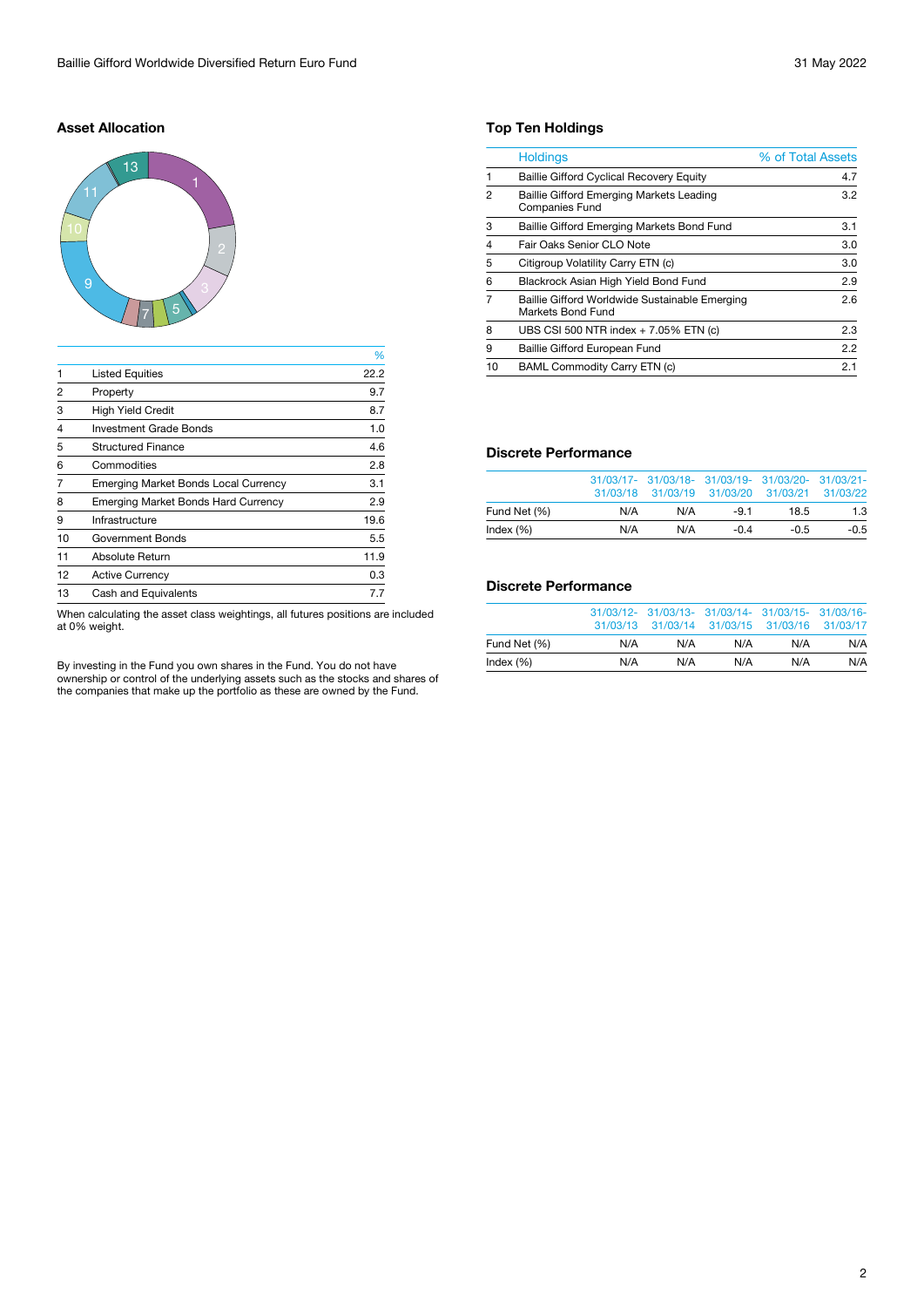#### **Asset Allocation**



|                |                                             | %    |
|----------------|---------------------------------------------|------|
| 1              | <b>Listed Equities</b>                      | 22.2 |
| 2              | Property                                    | 9.7  |
| 3              | <b>High Yield Credit</b>                    | 8.7  |
| $\overline{4}$ | <b>Investment Grade Bonds</b>               | 1.0  |
| 5              | <b>Structured Finance</b>                   | 4.6  |
| 6              | Commodities                                 | 2.8  |
| 7              | <b>Emerging Market Bonds Local Currency</b> | 3.1  |
| 8              | <b>Emerging Market Bonds Hard Currency</b>  | 2.9  |
| 9              | Infrastructure                              | 19.6 |
| 10             | Government Bonds                            | 5.5  |
| 11             | Absolute Return                             | 11.9 |
| 12             | <b>Active Currency</b>                      | 0.3  |
| 13             | <b>Cash and Equivalents</b>                 | 7.7  |

When calculating the asset class weightings, all futures positions are included at 0% weight.

By investing in the Fund you own shares in the Fund. You do not have ownership or control of the underlying assets such as the stocks and shares of the companies that make up the portfolio as these are owned by the Fund.

#### **Top Ten Holdings**

|                | <b>Holdings</b>                                                     | % of Total Assets |
|----------------|---------------------------------------------------------------------|-------------------|
|                | <b>Baillie Gifford Cyclical Recovery Equity</b>                     | 4.7               |
| 2              | Baillie Gifford Emerging Markets Leading<br><b>Companies Fund</b>   | 3.2               |
| 3              | Baillie Gifford Emerging Markets Bond Fund                          | 3.1               |
| $\overline{4}$ | Fair Oaks Senior CLO Note                                           | 3.0               |
| 5              | Citigroup Volatility Carry ETN (c)                                  | 3.0               |
| 6              | Blackrock Asian High Yield Bond Fund                                | 2.9               |
|                | Baillie Gifford Worldwide Sustainable Emerging<br>Markets Bond Fund | 2.6               |
| 8              | UBS CSI 500 NTR index + 7.05% ETN (c)                               | 2.3               |
| 9              | Baillie Gifford European Fund                                       | 2.2               |
| 10             | <b>BAML Commodity Carry ETN (c)</b>                                 | 2.1               |
|                |                                                                     |                   |

#### **Discrete Performance**

|              |     | 31/03/17- 31/03/18- 31/03/19- 31/03/20- 31/03/21-<br>31/03/18 31/03/19 31/03/20 31/03/21 31/03/22 |        |        |        |
|--------------|-----|---------------------------------------------------------------------------------------------------|--------|--------|--------|
| Fund Net (%) | N/A | N/A                                                                                               | $-91$  | 18.5   | 1.3    |
| Index $(\%)$ | N/A | N/A                                                                                               | $-0.4$ | $-0.5$ | $-0.5$ |

#### **Discrete Performance**

|              |     | 31/03/12- 31/03/13- 31/03/14- 31/03/15- 31/03/16-<br>31/03/13 31/03/14 31/03/15 31/03/16 31/03/17 |     |     |     |
|--------------|-----|---------------------------------------------------------------------------------------------------|-----|-----|-----|
| Fund Net (%) | N/A | N/A                                                                                               | N/A | N/A | N/A |
| Index $(\%)$ | N/A | N/A                                                                                               | N/A | N/A | N/A |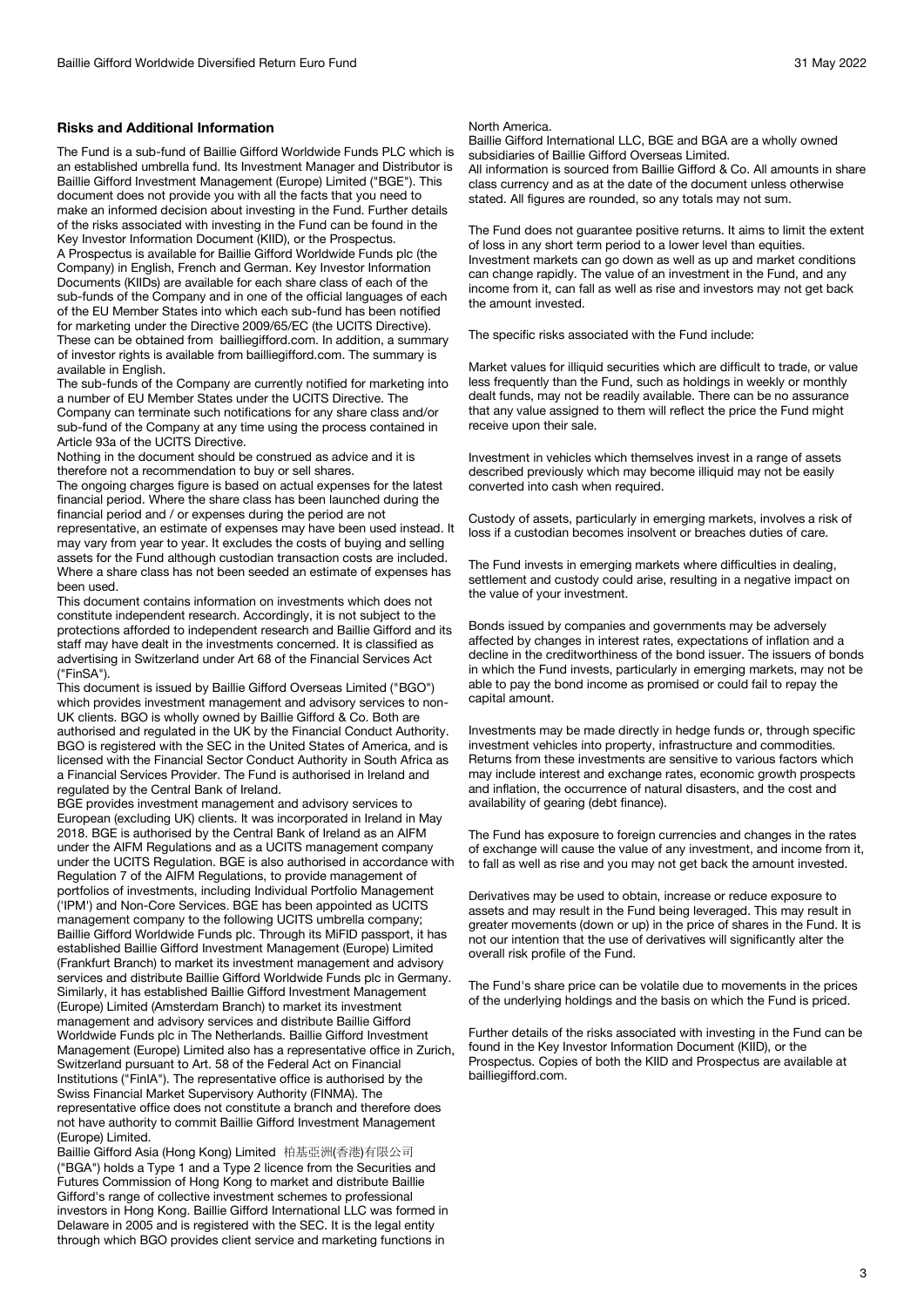#### **Risks and Additional Information**

The Fund is a sub-fund of Baillie Gifford Worldwide Funds PLC which is an established umbrella fund. Its Investment Manager and Distributor is Baillie Gifford Investment Management (Europe) Limited ("BGE"). This document does not provide you with all the facts that you need to make an informed decision about investing in the Fund. Further details of the risks associated with investing in the Fund can be found in the Key Investor Information Document (KIID), or the Prospectus.

A Prospectus is available for Baillie Gifford Worldwide Funds plc (the Company) in English, French and German. Key Investor Information Documents (KIIDs) are available for each share class of each of the sub-funds of the Company and in one of the official languages of each of the EU Member States into which each sub-fund has been notified for marketing under the Directive 2009/65/EC (the UCITS Directive). These can be obtained from bailliegifford.com. In addition, a summary of investor rights is available from bailliegifford.com. The summary is available in English.

The sub-funds of the Company are currently notified for marketing into a number of EU Member States under the UCITS Directive. The Company can terminate such notifications for any share class and/or sub-fund of the Company at any time using the process contained in Article 93a of the UCITS Directive.

Nothing in the document should be construed as advice and it is therefore not a recommendation to buy or sell shares.

The ongoing charges figure is based on actual expenses for the latest financial period. Where the share class has been launched during the financial period and / or expenses during the period are not representative, an estimate of expenses may have been used instead. It may vary from year to year. It excludes the costs of buying and selling assets for the Fund although custodian transaction costs are included.

Where a share class has not been seeded an estimate of expenses has been used. This document contains information on investments which does not

constitute independent research. Accordingly, it is not subject to the protections afforded to independent research and Baillie Gifford and its staff may have dealt in the investments concerned. It is classified as advertising in Switzerland under Art 68 of the Financial Services Act ("FinSA").

This document is issued by Baillie Gifford Overseas Limited ("BGO") which provides investment management and advisory services to non-UK clients. BGO is wholly owned by Baillie Gifford & Co. Both are authorised and regulated in the UK by the Financial Conduct Authority. BGO is registered with the SEC in the United States of America, and is licensed with the Financial Sector Conduct Authority in South Africa as a Financial Services Provider. The Fund is authorised in Ireland and regulated by the Central Bank of Ireland.

BGE provides investment management and advisory services to European (excluding UK) clients. It was incorporated in Ireland in May 2018. BGE is authorised by the Central Bank of Ireland as an AIFM under the AIFM Regulations and as a UCITS management company under the UCITS Regulation. BGE is also authorised in accordance with Regulation 7 of the AIFM Regulations, to provide management of portfolios of investments, including Individual Portfolio Management ('IPM') and Non-Core Services. BGE has been appointed as UCITS management company to the following UCITS umbrella company; Baillie Gifford Worldwide Funds plc. Through its MiFID passport, it has established Baillie Gifford Investment Management (Europe) Limited (Frankfurt Branch) to market its investment management and advisory services and distribute Baillie Gifford Worldwide Funds plc in Germany. Similarly, it has established Baillie Gifford Investment Management (Europe) Limited (Amsterdam Branch) to market its investment management and advisory services and distribute Baillie Gifford Worldwide Funds plc in The Netherlands. Baillie Gifford Investment Management (Europe) Limited also has a representative office in Zurich, Switzerland pursuant to Art. 58 of the Federal Act on Financial Institutions ("FinIA"). The representative office is authorised by the Swiss Financial Market Supervisory Authority (FINMA). The representative office does not constitute a branch and therefore does not have authority to commit Baillie Gifford Investment Management (Europe) Limited.

Baillie Gifford Asia (Hong Kong) Limited 柏基亞洲(香港)有限公司 ("BGA") holds a Type 1 and a Type 2 licence from the Securities and Futures Commission of Hong Kong to market and distribute Baillie Gifford's range of collective investment schemes to professional investors in Hong Kong. Baillie Gifford International LLC was formed in Delaware in 2005 and is registered with the SEC. It is the legal entity through which BGO provides client service and marketing functions in

## North America.

Baillie Gifford International LLC, BGE and BGA are a wholly owned subsidiaries of Baillie Gifford Overseas Limited. All information is sourced from Baillie Gifford & Co. All amounts in share class currency and as at the date of the document unless otherwise stated. All figures are rounded, so any totals may not sum.

The Fund does not guarantee positive returns. It aims to limit the extent of loss in any short term period to a lower level than equities. Investment markets can go down as well as up and market conditions can change rapidly. The value of an investment in the Fund, and any income from it, can fall as well as rise and investors may not get back the amount invested.

The specific risks associated with the Fund include:

Market values for illiquid securities which are difficult to trade, or value less frequently than the Fund, such as holdings in weekly or monthly dealt funds, may not be readily available. There can be no assurance that any value assigned to them will reflect the price the Fund might receive upon their sale.

Investment in vehicles which themselves invest in a range of assets described previously which may become illiquid may not be easily converted into cash when required.

Custody of assets, particularly in emerging markets, involves a risk of loss if a custodian becomes insolvent or breaches duties of care.

The Fund invests in emerging markets where difficulties in dealing, settlement and custody could arise, resulting in a negative impact on the value of your investment.

Bonds issued by companies and governments may be adversely affected by changes in interest rates, expectations of inflation and a decline in the creditworthiness of the bond issuer. The issuers of bonds in which the Fund invests, particularly in emerging markets, may not be able to pay the bond income as promised or could fail to repay the capital amount.

Investments may be made directly in hedge funds or, through specific investment vehicles into property, infrastructure and commodities. Returns from these investments are sensitive to various factors which may include interest and exchange rates, economic growth prospects and inflation, the occurrence of natural disasters, and the cost and availability of gearing (debt finance).

The Fund has exposure to foreign currencies and changes in the rates of exchange will cause the value of any investment, and income from it, to fall as well as rise and you may not get back the amount invested.

Derivatives may be used to obtain, increase or reduce exposure to assets and may result in the Fund being leveraged. This may result in greater movements (down or up) in the price of shares in the Fund. It is not our intention that the use of derivatives will significantly alter the overall risk profile of the Fund.

The Fund's share price can be volatile due to movements in the prices of the underlying holdings and the basis on which the Fund is priced.

Further details of the risks associated with investing in the Fund can be found in the Key Investor Information Document (KIID), or the Prospectus. Copies of both the KIID and Prospectus are available at bailliegifford.com.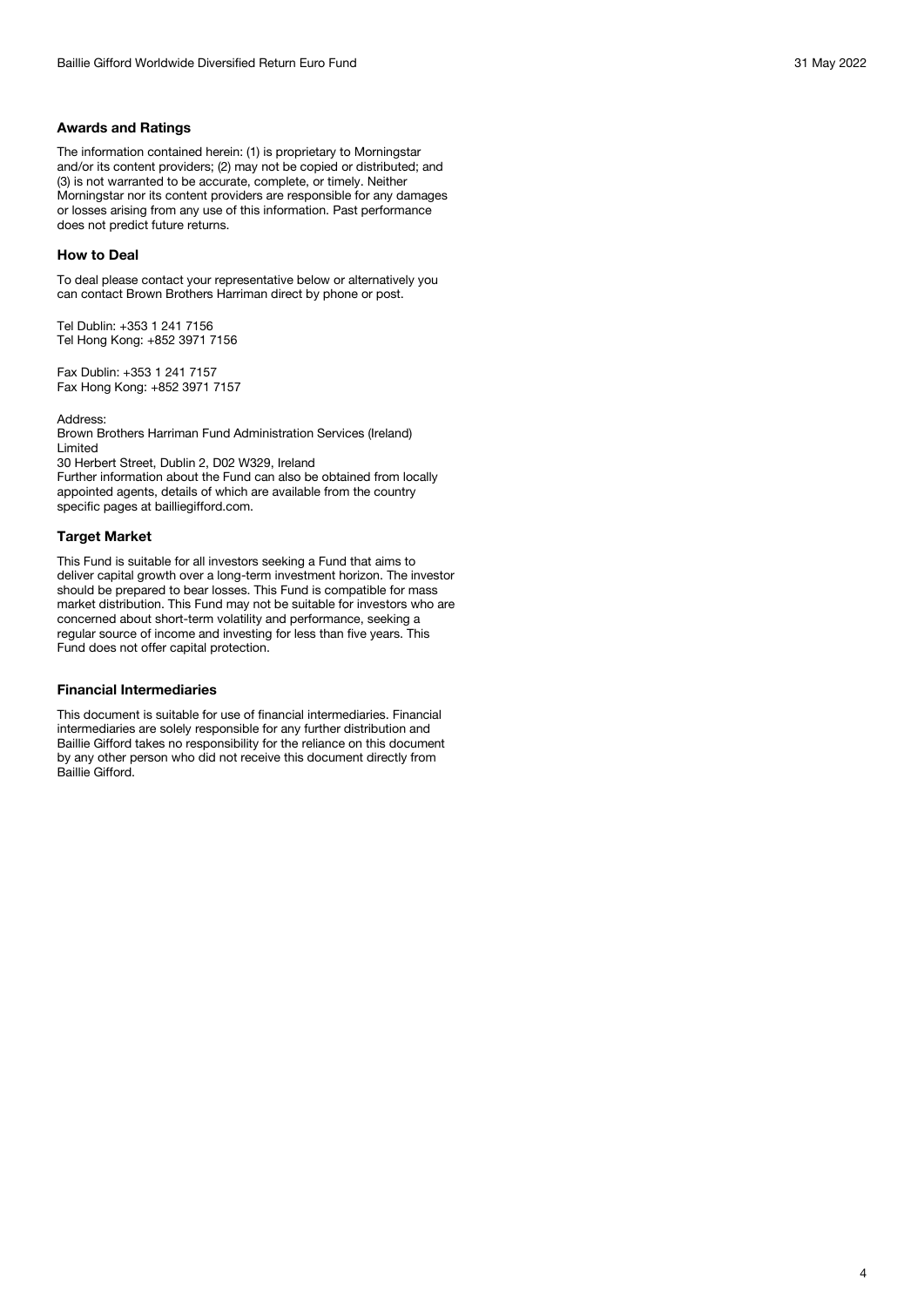#### **Awards and Ratings**

The information contained herein: (1) is proprietary to Morningstar and/or its content providers; (2) may not be copied or distributed; and (3) is not warranted to be accurate, complete, or timely. Neither Morningstar nor its content providers are responsible for any damages or losses arising from any use of this information. Past performance does not predict future returns.

#### **How to Deal**

To deal please contact your representative below or alternatively you can contact Brown Brothers Harriman direct by phone or post.

Tel Dublin: +353 1 241 7156 Tel Hong Kong: +852 3971 7156

Fax Dublin: +353 1 241 7157 Fax Hong Kong: +852 3971 7157

Address:

Brown Brothers Harriman Fund Administration Services (Ireland) Limited

30 Herbert Street, Dublin 2, D02 W329, Ireland

Further information about the Fund can also be obtained from locally appointed agents, details of which are available from the country specific pages at bailliegifford.com.

#### **Target Market**

This Fund is suitable for all investors seeking a Fund that aims to deliver capital growth over a long-term investment horizon. The investor should be prepared to bear losses. This Fund is compatible for mass market distribution. This Fund may not be suitable for investors who are concerned about short-term volatility and performance, seeking a regular source of income and investing for less than five years. This Fund does not offer capital protection.

#### **Financial Intermediaries**

This document is suitable for use of financial intermediaries. Financial intermediaries are solely responsible for any further distribution and Baillie Gifford takes no responsibility for the reliance on this document by any other person who did not receive this document directly from Baillie Gifford.